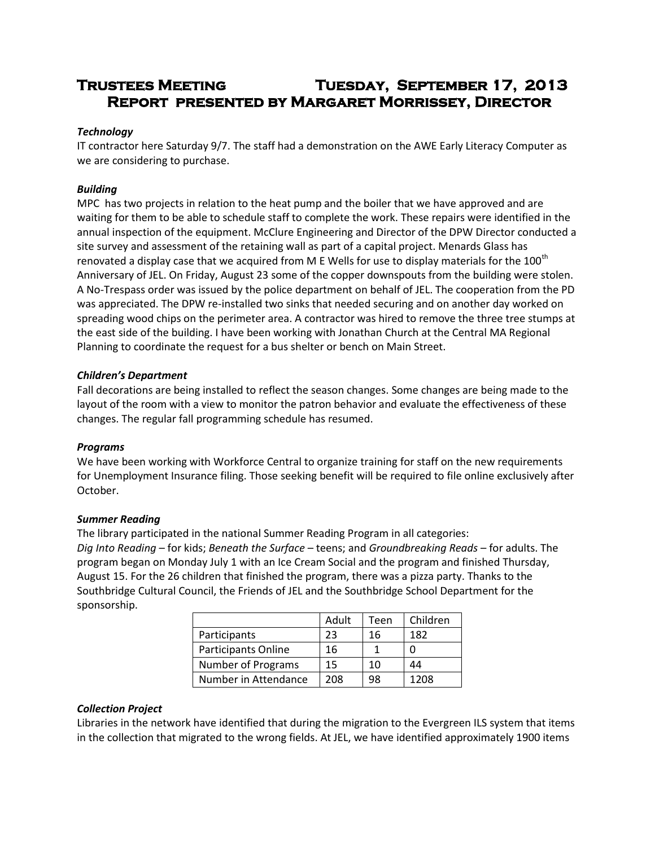# **Trustees Meeting Tuesday, September 17, 2013 Report presented by Margaret Morrissey, Director**

# *Technology*

IT contractor here Saturday 9/7. The staff had a demonstration on the AWE Early Literacy Computer as we are considering to purchase.

# *Building*

MPC has two projects in relation to the heat pump and the boiler that we have approved and are waiting for them to be able to schedule staff to complete the work. These repairs were identified in the annual inspection of the equipment. McClure Engineering and Director of the DPW Director conducted a site survey and assessment of the retaining wall as part of a capital project. Menards Glass has renovated a display case that we acquired from M E Wells for use to display materials for the  $100^{th}$ Anniversary of JEL. On Friday, August 23 some of the copper downspouts from the building were stolen. A No-Trespass order was issued by the police department on behalf of JEL. The cooperation from the PD was appreciated. The DPW re-installed two sinks that needed securing and on another day worked on spreading wood chips on the perimeter area. A contractor was hired to remove the three tree stumps at the east side of the building. I have been working with Jonathan Church at the Central MA Regional Planning to coordinate the request for a bus shelter or bench on Main Street.

### *Children's Department*

Fall decorations are being installed to reflect the season changes. Some changes are being made to the layout of the room with a view to monitor the patron behavior and evaluate the effectiveness of these changes. The regular fall programming schedule has resumed.

### *Programs*

We have been working with Workforce Central to organize training for staff on the new requirements for Unemployment Insurance filing. Those seeking benefit will be required to file online exclusively after October.

### *Summer Reading*

The library participated in the national Summer Reading Program in all categories: *Dig Into Reading* – for kids; *Beneath the Surface* – teens; and *Groundbreaking Reads* – for adults. The program began on Monday July 1 with an Ice Cream Social and the program and finished Thursday, August 15. For the 26 children that finished the program, there was a pizza party. Thanks to the Southbridge Cultural Council, the Friends of JEL and the Southbridge School Department for the sponsorship.

|                      | Adult | Teen | Children |
|----------------------|-------|------|----------|
| Participants         | 23    | 16   | 182      |
| Participants Online  | 16    |      |          |
| Number of Programs   | 15    | 10   | 44       |
| Number in Attendance | 208   | 98   | 1208     |

### *Collection Project*

Libraries in the network have identified that during the migration to the Evergreen ILS system that items in the collection that migrated to the wrong fields. At JEL, we have identified approximately 1900 items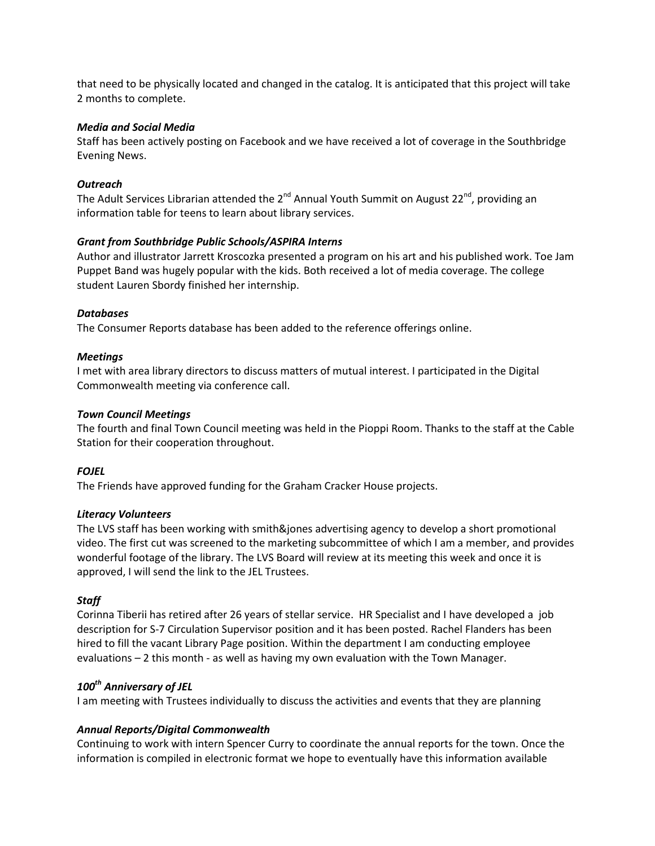that need to be physically located and changed in the catalog. It is anticipated that this project will take 2 months to complete.

#### *Media and Social Media*

Staff has been actively posting on Facebook and we have received a lot of coverage in the Southbridge Evening News.

### *Outreach*

The Adult Services Librarian attended the  $2^{nd}$  Annual Youth Summit on August  $22^{nd}$ , providing an information table for teens to learn about library services.

### *Grant from Southbridge Public Schools/ASPIRA Interns*

Author and illustrator Jarrett Kroscozka presented a program on his art and his published work. Toe Jam Puppet Band was hugely popular with the kids. Both received a lot of media coverage. The college student Lauren Sbordy finished her internship.

### *Databases*

The Consumer Reports database has been added to the reference offerings online.

### *Meetings*

I met with area library directors to discuss matters of mutual interest. I participated in the Digital Commonwealth meeting via conference call.

### *Town Council Meetings*

The fourth and final Town Council meeting was held in the Pioppi Room. Thanks to the staff at the Cable Station for their cooperation throughout.

### *FOJEL*

The Friends have approved funding for the Graham Cracker House projects.

### *Literacy Volunteers*

The LVS staff has been working with smith&jones advertising agency to develop a short promotional video. The first cut was screened to the marketing subcommittee of which I am a member, and provides wonderful footage of the library. The LVS Board will review at its meeting this week and once it is approved, I will send the link to the JEL Trustees.

# *Staff*

Corinna Tiberii has retired after 26 years of stellar service. HR Specialist and I have developed a job description for S-7 Circulation Supervisor position and it has been posted. Rachel Flanders has been hired to fill the vacant Library Page position. Within the department I am conducting employee evaluations – 2 this month - as well as having my own evaluation with the Town Manager.

# *100th Anniversary of JEL*

I am meeting with Trustees individually to discuss the activities and events that they are planning

# *Annual Reports/Digital Commonwealth*

Continuing to work with intern Spencer Curry to coordinate the annual reports for the town. Once the information is compiled in electronic format we hope to eventually have this information available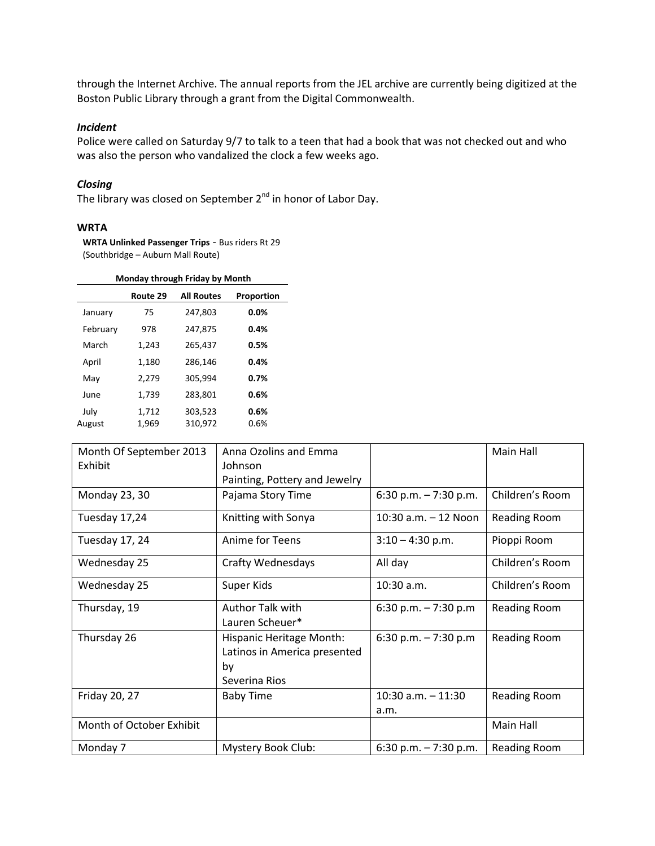through the Internet Archive. The annual reports from the JEL archive are currently being digitized at the Boston Public Library through a grant from the Digital Commonwealth.

#### *Incident*

Police were called on Saturday 9/7 to talk to a teen that had a book that was not checked out and who was also the person who vandalized the clock a few weeks ago.

### *Closing*

The library was closed on September 2<sup>nd</sup> in honor of Labor Day.

#### **WRTA**

**WRTA Unlinked Passenger Trips** - Bus riders Rt 29 (Southbridge – Auburn Mall Route)

#### **Monday through Friday by Month**

|                | Route 29       | <b>All Routes</b>  | Proportion   |
|----------------|----------------|--------------------|--------------|
| January        | 75             | 247,803            | $0.0\%$      |
| February       | 978            | 247,875            | 0.4%         |
| March          | 1,243          | 265,437            | 0.5%         |
| April          | 1,180          | 286,146            | 0.4%         |
| May            | 2,279          | 305,994            | 0.7%         |
| June           | 1,739          | 283,801            | 0.6%         |
| July<br>August | 1,712<br>1,969 | 303,523<br>310,972 | 0.6%<br>0.6% |

| Month Of September 2013  | Anna Ozolins and Emma                                                           |                               | Main Hall           |
|--------------------------|---------------------------------------------------------------------------------|-------------------------------|---------------------|
| Exhibit                  | Johnson                                                                         |                               |                     |
|                          | Painting, Pottery and Jewelry                                                   |                               |                     |
| Monday 23, 30            | Pajama Story Time                                                               | 6:30 p.m. $-7:30$ p.m.        | Children's Room     |
| Tuesday 17,24            | Knitting with Sonya                                                             | 10:30 a.m. - 12 Noon          | Reading Room        |
| Tuesday 17, 24           | Anime for Teens                                                                 | $3:10 - 4:30$ p.m.            | Pioppi Room         |
| Wednesday 25             | <b>Crafty Wednesdays</b>                                                        | All day                       | Children's Room     |
| Wednesday 25             | Super Kids                                                                      | $10:30$ a.m.                  | Children's Room     |
| Thursday, 19             | Author Talk with<br>Lauren Scheuer*                                             | 6:30 p.m. $-7:30$ p.m         | <b>Reading Room</b> |
| Thursday 26              | Hispanic Heritage Month:<br>Latinos in America presented<br>by<br>Severina Rios | 6:30 p.m. $-7:30$ p.m         | Reading Room        |
| Friday 20, 27            | <b>Baby Time</b>                                                                | $10:30$ a.m. $-11:30$<br>a.m. | Reading Room        |
| Month of October Exhibit |                                                                                 |                               | Main Hall           |
| Monday 7                 | Mystery Book Club:                                                              | 6:30 p.m. $-7:30$ p.m.        | <b>Reading Room</b> |